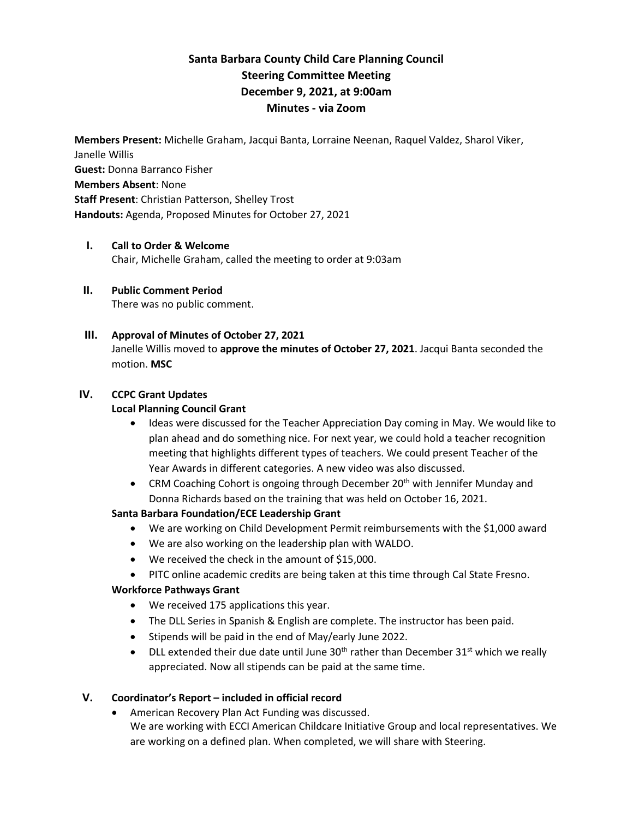# **Santa Barbara County Child Care Planning Council Steering Committee Meeting December 9, 2021, at 9:00am Minutes - via Zoom**

**Members Present:** Michelle Graham, Jacqui Banta, Lorraine Neenan, Raquel Valdez, Sharol Viker, Janelle Willis **Guest:** Donna Barranco Fisher **Members Absent**: None **Staff Present**: Christian Patterson, Shelley Trost **Handouts:** Agenda, Proposed Minutes for October 27, 2021

## **I. Call to Order & Welcome**

Chair, Michelle Graham, called the meeting to order at 9:03am

**II. Public Comment Period**  There was no public comment.

#### **III. Approval of Minutes of October 27, 2021**

Janelle Willis moved to **approve the minutes of October 27, 2021**. Jacqui Banta seconded the motion. **MSC**

## **IV. CCPC Grant Updates**

### **Local Planning Council Grant**

- Ideas were discussed for the Teacher Appreciation Day coming in May. We would like to plan ahead and do something nice. For next year, we could hold a teacher recognition meeting that highlights different types of teachers. We could present Teacher of the Year Awards in different categories. A new video was also discussed.
- CRM Coaching Cohort is ongoing through December  $20<sup>th</sup>$  with Jennifer Munday and Donna Richards based on the training that was held on October 16, 2021.

# **Santa Barbara Foundation/ECE Leadership Grant**

- We are working on Child Development Permit reimbursements with the \$1,000 award
- We are also working on the leadership plan with WALDO.
- We received the check in the amount of \$15,000.
- PITC online academic credits are being taken at this time through Cal State Fresno.

#### **Workforce Pathways Grant**

- We received 175 applications this year.
- The DLL Series in Spanish & English are complete. The instructor has been paid.
- Stipends will be paid in the end of May/early June 2022.
- DLL extended their due date until June  $30<sup>th</sup>$  rather than December  $31<sup>st</sup>$  which we really appreciated. Now all stipends can be paid at the same time.

# **V. Coordinator's Report – included in official record**

• American Recovery Plan Act Funding was discussed. We are working with ECCI American Childcare Initiative Group and local representatives. We are working on a defined plan. When completed, we will share with Steering.